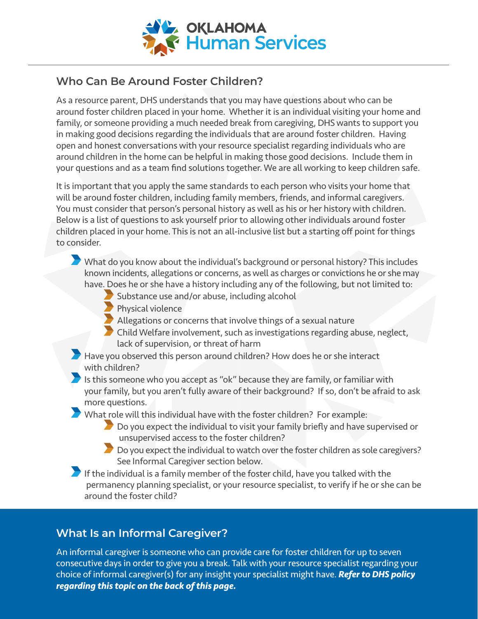

## **Who Can Be Around Foster Children?**

As a resource parent, DHS understands that you may have questions about who can be around foster children placed in your home. Whether it is an individual visiting your home and family, or someone providing a much needed break from caregiving, DHS wants to support you in making good decisions regarding the individuals that are around foster children. Having open and honest conversations with your resource specialist regarding individuals who are around children in the home can be helpful in making those good decisions. Include them in your questions and as a team find solutions together. We are all working to keep children safe.

It is important that you apply the same standards to each person who visits your home that will be around foster children, including family members, friends, and informal caregivers. You must consider that person's personal history as well as his or her history with children. Below is a list of questions to ask yourself prior to allowing other individuals around foster children placed in your home. This is not an all-inclusive list but a starting off point for things to consider.

- What do you know about the individual's background or personal history? This includes known incidents, allegations or concerns, as well as charges or convictions he or she may have. Does he or she have a history including any of the following, but not limited to:
	- Substance use and/or abuse, including alcohol
	- Physical violence
		- Allegations or concerns that involve things of a sexual nature
	- Child Welfare involvement, such as investigations regarding abuse, neglect, lack of supervision, or threat of harm
- Have you observed this person around children? How does he or she interact with children?
- Is this someone who you accept as "ok" because they are family, or familiar with your family, but you aren't fully aware of their background? If so, don't be afraid to ask more questions.
- What role will this individual have with the foster children? For example:
	- Do you expect the individual to visit your family briefly and have supervised or unsupervised access to the foster children?
	- Do you expect the individual to watch over the foster children as sole caregivers? See Informal Caregiver section below.
- If the individual is a family member of the foster child, have you talked with the permanency planning specialist, or your resource specialist, to verify if he or she can be around the foster child?

## **What Is an Informal Caregiver?**

An informal caregiver is someone who can provide care for foster children for up to seven consecutive days in order to give you a break. Talk with your resource specialist regarding your choice of informal caregiver(s) for any insight your specialist might have. *Refer to DHS policy regarding this topic on the back of this page.*